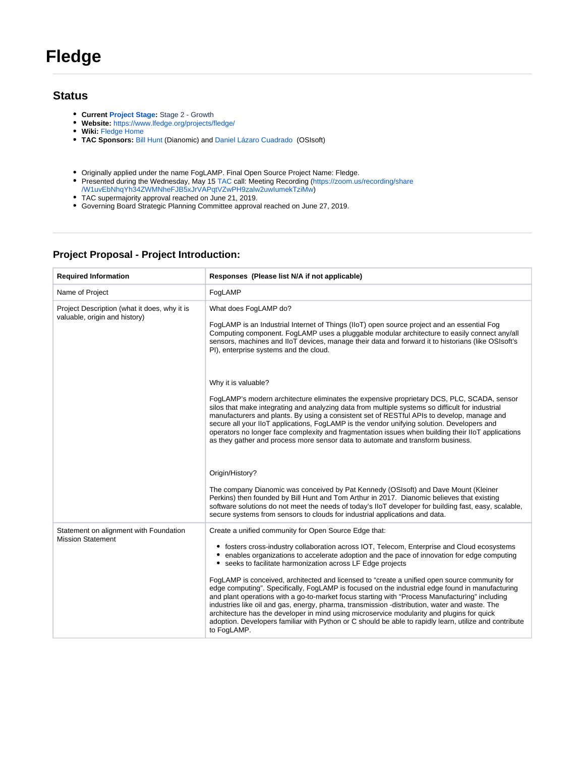# **Fledge**

#### **Status**

- **Current [Project Stage:](https://wiki.lfedge.org/display/LE/Project+Stages%3A+Definitions+and+Expectations)** Stage 2 Growth
- **Website:** <https://www.lfedge.org/projects/fledge/>
- **Wiki:** [Fledge Home](https://wiki.lfedge.org/display/FLEDGE/Fledge+Home)
- **TAC Sponsors:** [Bill Hunt](https://wiki.lfedge.org/display/~billh) (Dianomic) and [Daniel Lázaro Cuadrado](https://wiki.lfedge.org/display/~dlazaro) (OSIsoft)
- Originally applied under the name FogLAMP. Final Open Source Project Name: Fledge.
- Presented during the Wednesday, May 15 [TAC](https://wiki.lfedge.org/pages/viewpage.action?pageId=1671298) call: Meeting Recording ([https://zoom.us/recording/share](https://zoom.us/recording/share/W1uvEbNhqYh34ZWMNheFJB5xJrVAPqtVZwPH9zalw2uwIumekTziMw)
- [/W1uvEbNhqYh34ZWMNheFJB5xJrVAPqtVZwPH9zalw2uwIumekTziMw](https://zoom.us/recording/share/W1uvEbNhqYh34ZWMNheFJB5xJrVAPqtVZwPH9zalw2uwIumekTziMw))
- TAC supermajority approval reached on June 21, 2019.
- Governing Board Strategic Planning Committee approval reached on June 27, 2019.

### **Project Proposal - Project Introduction:**

| <b>Required Information</b>                                                   | Responses (Please list N/A if not applicable)                                                                                                                                                                                                                                                                                                                                                                                                                                                                                                                                                                                                                                                                                                                                                                                                                                                                                               |
|-------------------------------------------------------------------------------|---------------------------------------------------------------------------------------------------------------------------------------------------------------------------------------------------------------------------------------------------------------------------------------------------------------------------------------------------------------------------------------------------------------------------------------------------------------------------------------------------------------------------------------------------------------------------------------------------------------------------------------------------------------------------------------------------------------------------------------------------------------------------------------------------------------------------------------------------------------------------------------------------------------------------------------------|
| Name of Project                                                               | FogLAMP                                                                                                                                                                                                                                                                                                                                                                                                                                                                                                                                                                                                                                                                                                                                                                                                                                                                                                                                     |
| Project Description (what it does, why it is<br>valuable, origin and history) | What does FogLAMP do?<br>FogLAMP is an Industrial Internet of Things (IIoT) open source project and an essential Fog<br>Computing component. FogLAMP uses a pluggable modular architecture to easily connect any/all<br>sensors, machines and IIoT devices, manage their data and forward it to historians (like OSIsoft's<br>PI), enterprise systems and the cloud.                                                                                                                                                                                                                                                                                                                                                                                                                                                                                                                                                                        |
|                                                                               | Why it is valuable?<br>FogLAMP's modern architecture eliminates the expensive proprietary DCS, PLC, SCADA, sensor<br>silos that make integrating and analyzing data from multiple systems so difficult for industrial<br>manufacturers and plants. By using a consistent set of RESTful APIs to develop, manage and<br>secure all your IIoT applications, FogLAMP is the vendor unifying solution. Developers and<br>operators no longer face complexity and fragmentation issues when building their IIoT applications<br>as they gather and process more sensor data to automate and transform business.                                                                                                                                                                                                                                                                                                                                  |
|                                                                               | Origin/History?<br>The company Dianomic was conceived by Pat Kennedy (OSIsoft) and Dave Mount (Kleiner<br>Perkins) then founded by Bill Hunt and Tom Arthur in 2017. Dianomic believes that existing<br>software solutions do not meet the needs of today's IIoT developer for building fast, easy, scalable,<br>secure systems from sensors to clouds for industrial applications and data.                                                                                                                                                                                                                                                                                                                                                                                                                                                                                                                                                |
| Statement on alignment with Foundation<br><b>Mission Statement</b>            | Create a unified community for Open Source Edge that:<br>fosters cross-industry collaboration across IOT, Telecom, Enterprise and Cloud ecosystems<br>enables organizations to accelerate adoption and the pace of innovation for edge computing<br>seeks to facilitate harmonization across LF Edge projects<br>FogLAMP is conceived, architected and licensed to "create a unified open source community for<br>edge computing". Specifically, FogLAMP is focused on the industrial edge found in manufacturing<br>and plant operations with a go-to-market focus starting with "Process Manufacturing" including<br>industries like oil and gas, energy, pharma, transmission -distribution, water and waste. The<br>architecture has the developer in mind using microservice modularity and plugins for quick<br>adoption. Developers familiar with Python or C should be able to rapidly learn, utilize and contribute<br>to FogLAMP. |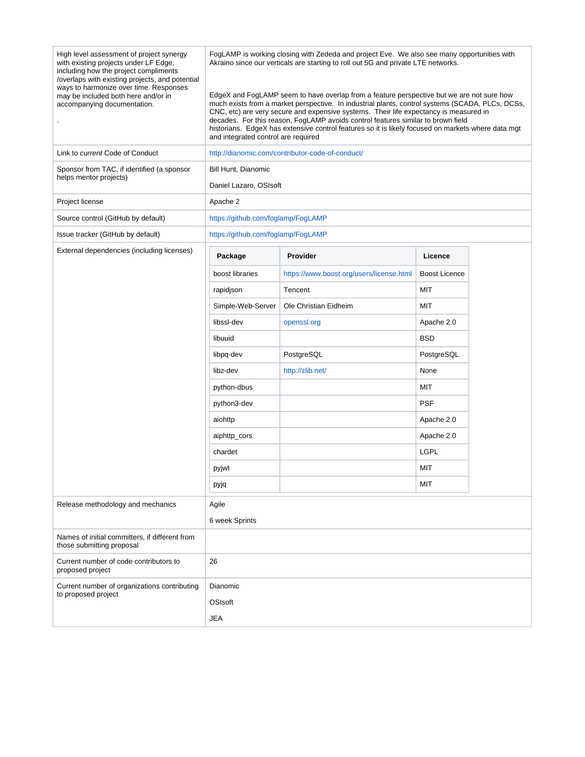| High level assessment of project synergy<br>with existing projects under LF Edge,<br>including how the project compliments<br>/overlaps with existing projects, and potential<br>ways to harmonize over time. Responses<br>may be included both here and/or in<br>accompanying documentation. | FogLAMP is working closing with Zededa and project Eve. We also see many opportunities with<br>Akraino since our verticals are starting to roll out 5G and private LTE networks.<br>EdgeX and FogLAMP seem to have overlap from a feature perspective but we are not sure how<br>much exists from a market perspective. In industrial plants, control systems (SCADA, PLCs, DCSs,<br>CNC, etc) are very secure and expensive systems. Their life expectancy is measured in<br>decades. For this reason, FogLAMP avoids control features similar to brown field<br>historians. EdgeX has extensive control features so it is likely focused on markets where data mgt<br>and integrated control are required |                                                  |                      |  |
|-----------------------------------------------------------------------------------------------------------------------------------------------------------------------------------------------------------------------------------------------------------------------------------------------|-------------------------------------------------------------------------------------------------------------------------------------------------------------------------------------------------------------------------------------------------------------------------------------------------------------------------------------------------------------------------------------------------------------------------------------------------------------------------------------------------------------------------------------------------------------------------------------------------------------------------------------------------------------------------------------------------------------|--------------------------------------------------|----------------------|--|
| Link to <i>current</i> Code of Conduct                                                                                                                                                                                                                                                        |                                                                                                                                                                                                                                                                                                                                                                                                                                                                                                                                                                                                                                                                                                             | http://dianomic.com/contributor-code-of-conduct/ |                      |  |
| Sponsor from TAC, if identified (a sponsor                                                                                                                                                                                                                                                    | <b>Bill Hunt, Dianomic</b>                                                                                                                                                                                                                                                                                                                                                                                                                                                                                                                                                                                                                                                                                  |                                                  |                      |  |
| helps mentor projects)                                                                                                                                                                                                                                                                        | Daniel Lazaro, OSIsoft                                                                                                                                                                                                                                                                                                                                                                                                                                                                                                                                                                                                                                                                                      |                                                  |                      |  |
| Project license                                                                                                                                                                                                                                                                               | Apache 2                                                                                                                                                                                                                                                                                                                                                                                                                                                                                                                                                                                                                                                                                                    |                                                  |                      |  |
| Source control (GitHub by default)                                                                                                                                                                                                                                                            | https://github.com/foglamp/FogLAMP                                                                                                                                                                                                                                                                                                                                                                                                                                                                                                                                                                                                                                                                          |                                                  |                      |  |
| Issue tracker (GitHub by default)                                                                                                                                                                                                                                                             | https://github.com/foglamp/FogLAMP                                                                                                                                                                                                                                                                                                                                                                                                                                                                                                                                                                                                                                                                          |                                                  |                      |  |
| External dependencies (including licenses)                                                                                                                                                                                                                                                    | Package                                                                                                                                                                                                                                                                                                                                                                                                                                                                                                                                                                                                                                                                                                     | Provider                                         | Licence              |  |
|                                                                                                                                                                                                                                                                                               | boost libraries                                                                                                                                                                                                                                                                                                                                                                                                                                                                                                                                                                                                                                                                                             | https://www.boost.org/users/license.html         | <b>Boost Licence</b> |  |
|                                                                                                                                                                                                                                                                                               | rapidjson                                                                                                                                                                                                                                                                                                                                                                                                                                                                                                                                                                                                                                                                                                   | Tencent                                          | MIT                  |  |
|                                                                                                                                                                                                                                                                                               | Simple-Web-Server                                                                                                                                                                                                                                                                                                                                                                                                                                                                                                                                                                                                                                                                                           | Ole Christian Eidheim                            | MIT                  |  |
|                                                                                                                                                                                                                                                                                               | libssl-dev                                                                                                                                                                                                                                                                                                                                                                                                                                                                                                                                                                                                                                                                                                  | openssl.org                                      | Apache 2.0           |  |
|                                                                                                                                                                                                                                                                                               | libuuid                                                                                                                                                                                                                                                                                                                                                                                                                                                                                                                                                                                                                                                                                                     |                                                  | <b>BSD</b>           |  |
|                                                                                                                                                                                                                                                                                               | libpq-dev                                                                                                                                                                                                                                                                                                                                                                                                                                                                                                                                                                                                                                                                                                   | PostgreSQL                                       | PostgreSQL           |  |
|                                                                                                                                                                                                                                                                                               | libz-dev                                                                                                                                                                                                                                                                                                                                                                                                                                                                                                                                                                                                                                                                                                    | http://zlib.net/                                 | None                 |  |
|                                                                                                                                                                                                                                                                                               | python-dbus                                                                                                                                                                                                                                                                                                                                                                                                                                                                                                                                                                                                                                                                                                 |                                                  | MIT                  |  |
|                                                                                                                                                                                                                                                                                               | python3-dev                                                                                                                                                                                                                                                                                                                                                                                                                                                                                                                                                                                                                                                                                                 |                                                  | <b>PSF</b>           |  |
|                                                                                                                                                                                                                                                                                               | aiohttp                                                                                                                                                                                                                                                                                                                                                                                                                                                                                                                                                                                                                                                                                                     |                                                  | Apache 2.0           |  |
|                                                                                                                                                                                                                                                                                               | aiphttp_cors                                                                                                                                                                                                                                                                                                                                                                                                                                                                                                                                                                                                                                                                                                |                                                  | Apache 2.0           |  |
|                                                                                                                                                                                                                                                                                               | chardet                                                                                                                                                                                                                                                                                                                                                                                                                                                                                                                                                                                                                                                                                                     |                                                  | <b>LGPL</b>          |  |
|                                                                                                                                                                                                                                                                                               | pyjwt                                                                                                                                                                                                                                                                                                                                                                                                                                                                                                                                                                                                                                                                                                       |                                                  | MIT                  |  |
|                                                                                                                                                                                                                                                                                               | pyjq                                                                                                                                                                                                                                                                                                                                                                                                                                                                                                                                                                                                                                                                                                        |                                                  | MIT                  |  |
| Release methodology and mechanics                                                                                                                                                                                                                                                             | Agile                                                                                                                                                                                                                                                                                                                                                                                                                                                                                                                                                                                                                                                                                                       |                                                  |                      |  |
|                                                                                                                                                                                                                                                                                               | 6 week Sprints                                                                                                                                                                                                                                                                                                                                                                                                                                                                                                                                                                                                                                                                                              |                                                  |                      |  |
| Names of initial committers, if different from<br>those submitting proposal                                                                                                                                                                                                                   |                                                                                                                                                                                                                                                                                                                                                                                                                                                                                                                                                                                                                                                                                                             |                                                  |                      |  |
| Current number of code contributors to<br>proposed project                                                                                                                                                                                                                                    | 26                                                                                                                                                                                                                                                                                                                                                                                                                                                                                                                                                                                                                                                                                                          |                                                  |                      |  |
| Current number of organizations contributing                                                                                                                                                                                                                                                  | Dianomic                                                                                                                                                                                                                                                                                                                                                                                                                                                                                                                                                                                                                                                                                                    |                                                  |                      |  |
| to proposed project                                                                                                                                                                                                                                                                           | OSIsoft                                                                                                                                                                                                                                                                                                                                                                                                                                                                                                                                                                                                                                                                                                     |                                                  |                      |  |
|                                                                                                                                                                                                                                                                                               | JEA                                                                                                                                                                                                                                                                                                                                                                                                                                                                                                                                                                                                                                                                                                         |                                                  |                      |  |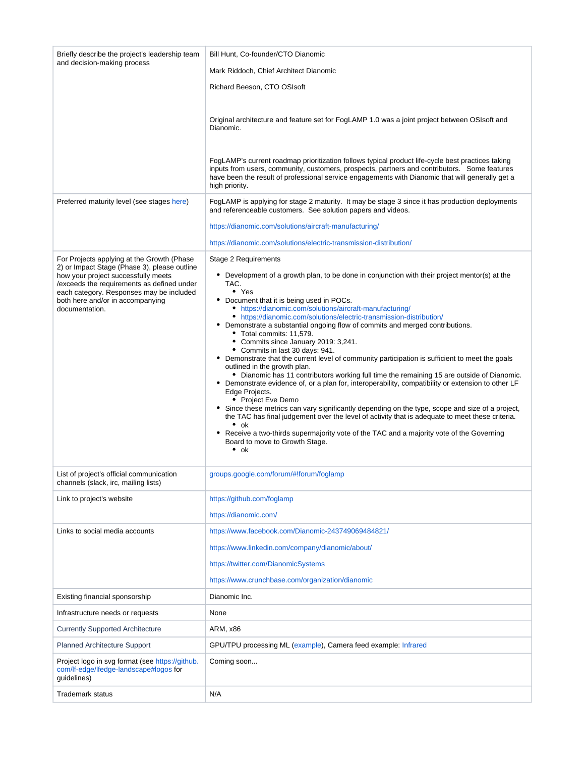| Briefly describe the project's leadership team                                                                                                                                                                                                                                    | Bill Hunt, Co-founder/CTO Dianomic                                                                                                                                                                                                                                                                                                                                                                                                                                                                                                                                                                                                                                                                                                                                                                                                                                                                                                                                                                                                                                                                                                                                                                                                                                      |
|-----------------------------------------------------------------------------------------------------------------------------------------------------------------------------------------------------------------------------------------------------------------------------------|-------------------------------------------------------------------------------------------------------------------------------------------------------------------------------------------------------------------------------------------------------------------------------------------------------------------------------------------------------------------------------------------------------------------------------------------------------------------------------------------------------------------------------------------------------------------------------------------------------------------------------------------------------------------------------------------------------------------------------------------------------------------------------------------------------------------------------------------------------------------------------------------------------------------------------------------------------------------------------------------------------------------------------------------------------------------------------------------------------------------------------------------------------------------------------------------------------------------------------------------------------------------------|
| and decision-making process                                                                                                                                                                                                                                                       | Mark Riddoch, Chief Architect Dianomic                                                                                                                                                                                                                                                                                                                                                                                                                                                                                                                                                                                                                                                                                                                                                                                                                                                                                                                                                                                                                                                                                                                                                                                                                                  |
|                                                                                                                                                                                                                                                                                   | Richard Beeson, CTO OSIsoft                                                                                                                                                                                                                                                                                                                                                                                                                                                                                                                                                                                                                                                                                                                                                                                                                                                                                                                                                                                                                                                                                                                                                                                                                                             |
|                                                                                                                                                                                                                                                                                   |                                                                                                                                                                                                                                                                                                                                                                                                                                                                                                                                                                                                                                                                                                                                                                                                                                                                                                                                                                                                                                                                                                                                                                                                                                                                         |
|                                                                                                                                                                                                                                                                                   | Original architecture and feature set for FogLAMP 1.0 was a joint project between OSIsoft and<br>Dianomic.                                                                                                                                                                                                                                                                                                                                                                                                                                                                                                                                                                                                                                                                                                                                                                                                                                                                                                                                                                                                                                                                                                                                                              |
|                                                                                                                                                                                                                                                                                   | FogLAMP's current roadmap prioritization follows typical product life-cycle best practices taking<br>inputs from users, community, customers, prospects, partners and contributors. Some features<br>have been the result of professional service engagements with Dianomic that will generally get a<br>high priority.                                                                                                                                                                                                                                                                                                                                                                                                                                                                                                                                                                                                                                                                                                                                                                                                                                                                                                                                                 |
| Preferred maturity level (see stages here)                                                                                                                                                                                                                                        | FogLAMP is applying for stage 2 maturity. It may be stage 3 since it has production deployments<br>and referenceable customers. See solution papers and videos.                                                                                                                                                                                                                                                                                                                                                                                                                                                                                                                                                                                                                                                                                                                                                                                                                                                                                                                                                                                                                                                                                                         |
|                                                                                                                                                                                                                                                                                   | https://dianomic.com/solutions/aircraft-manufacturing/                                                                                                                                                                                                                                                                                                                                                                                                                                                                                                                                                                                                                                                                                                                                                                                                                                                                                                                                                                                                                                                                                                                                                                                                                  |
|                                                                                                                                                                                                                                                                                   | https://dianomic.com/solutions/electric-transmission-distribution/                                                                                                                                                                                                                                                                                                                                                                                                                                                                                                                                                                                                                                                                                                                                                                                                                                                                                                                                                                                                                                                                                                                                                                                                      |
| For Projects applying at the Growth (Phase<br>2) or Impact Stage (Phase 3), please outline<br>how your project successfully meets<br>/exceeds the requirements as defined under<br>each category. Responses may be included<br>both here and/or in accompanying<br>documentation. | Stage 2 Requirements<br>• Development of a growth plan, to be done in conjunction with their project mentor(s) at the<br>TAC.<br>$\bullet$ Yes<br>Document that it is being used in POCs.<br>• https://dianomic.com/solutions/aircraft-manufacturing/<br>• https://dianomic.com/solutions/electric-transmission-distribution/<br>Demonstrate a substantial ongoing flow of commits and merged contributions.<br>٠<br>• Total commits: 11,579.<br>• Commits since January 2019: 3,241.<br>• Commits in last 30 days: 941.<br>• Demonstrate that the current level of community participation is sufficient to meet the goals<br>outlined in the growth plan.<br>• Dianomic has 11 contributors working full time the remaining 15 are outside of Dianomic.<br>Demonstrate evidence of, or a plan for, interoperability, compatibility or extension to other LF<br>Edge Projects.<br>• Project Eve Demo<br>Since these metrics can vary significantly depending on the type, scope and size of a project,<br>the TAC has final judgement over the level of activity that is adequate to meet these criteria.<br>$\bullet$ ok<br>Receive a two-thirds supermajority vote of the TAC and a majority vote of the Governing<br>Board to move to Growth Stage.<br>$\bullet$ ok |
| List of project's official communication<br>channels (slack, irc, mailing lists)                                                                                                                                                                                                  | groups.google.com/forum/#!forum/foglamp                                                                                                                                                                                                                                                                                                                                                                                                                                                                                                                                                                                                                                                                                                                                                                                                                                                                                                                                                                                                                                                                                                                                                                                                                                 |
| Link to project's website                                                                                                                                                                                                                                                         | https://github.com/foglamp                                                                                                                                                                                                                                                                                                                                                                                                                                                                                                                                                                                                                                                                                                                                                                                                                                                                                                                                                                                                                                                                                                                                                                                                                                              |
|                                                                                                                                                                                                                                                                                   | https://dianomic.com/                                                                                                                                                                                                                                                                                                                                                                                                                                                                                                                                                                                                                                                                                                                                                                                                                                                                                                                                                                                                                                                                                                                                                                                                                                                   |
| Links to social media accounts                                                                                                                                                                                                                                                    | https://www.facebook.com/Dianomic-243749069484821/                                                                                                                                                                                                                                                                                                                                                                                                                                                                                                                                                                                                                                                                                                                                                                                                                                                                                                                                                                                                                                                                                                                                                                                                                      |
|                                                                                                                                                                                                                                                                                   | https://www.linkedin.com/company/dianomic/about/                                                                                                                                                                                                                                                                                                                                                                                                                                                                                                                                                                                                                                                                                                                                                                                                                                                                                                                                                                                                                                                                                                                                                                                                                        |
|                                                                                                                                                                                                                                                                                   | https://twitter.com/DianomicSystems                                                                                                                                                                                                                                                                                                                                                                                                                                                                                                                                                                                                                                                                                                                                                                                                                                                                                                                                                                                                                                                                                                                                                                                                                                     |
|                                                                                                                                                                                                                                                                                   | https://www.crunchbase.com/organization/dianomic                                                                                                                                                                                                                                                                                                                                                                                                                                                                                                                                                                                                                                                                                                                                                                                                                                                                                                                                                                                                                                                                                                                                                                                                                        |
| Existing financial sponsorship                                                                                                                                                                                                                                                    | Dianomic Inc.                                                                                                                                                                                                                                                                                                                                                                                                                                                                                                                                                                                                                                                                                                                                                                                                                                                                                                                                                                                                                                                                                                                                                                                                                                                           |
| Infrastructure needs or requests                                                                                                                                                                                                                                                  | None                                                                                                                                                                                                                                                                                                                                                                                                                                                                                                                                                                                                                                                                                                                                                                                                                                                                                                                                                                                                                                                                                                                                                                                                                                                                    |
| <b>Currently Supported Architecture</b>                                                                                                                                                                                                                                           | ARM, x86                                                                                                                                                                                                                                                                                                                                                                                                                                                                                                                                                                                                                                                                                                                                                                                                                                                                                                                                                                                                                                                                                                                                                                                                                                                                |
| <b>Planned Architecture Support</b>                                                                                                                                                                                                                                               | GPU/TPU processing ML (example), Camera feed example: Infrared                                                                                                                                                                                                                                                                                                                                                                                                                                                                                                                                                                                                                                                                                                                                                                                                                                                                                                                                                                                                                                                                                                                                                                                                          |
| Project logo in svg format (see https://github.<br>com/lf-edge/lfedge-landscape#logos for<br>guidelines)                                                                                                                                                                          | Coming soon                                                                                                                                                                                                                                                                                                                                                                                                                                                                                                                                                                                                                                                                                                                                                                                                                                                                                                                                                                                                                                                                                                                                                                                                                                                             |
| Trademark status                                                                                                                                                                                                                                                                  | N/A                                                                                                                                                                                                                                                                                                                                                                                                                                                                                                                                                                                                                                                                                                                                                                                                                                                                                                                                                                                                                                                                                                                                                                                                                                                                     |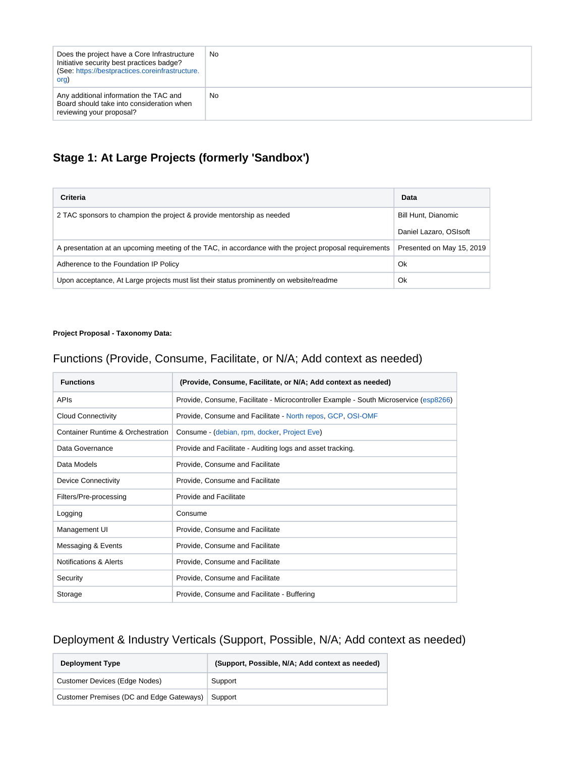| Does the project have a Core Infrastructure<br>Initiative security best practices badge?<br>(See: https://bestpractices.coreinfrastructure.<br>org) | No |
|-----------------------------------------------------------------------------------------------------------------------------------------------------|----|
| Any additional information the TAC and<br>Board should take into consideration when<br>reviewing your proposal?                                     | No |

## **Stage 1: At Large Projects (formerly 'Sandbox')**

| <b>Criteria</b>                                                                                        | Data                       |
|--------------------------------------------------------------------------------------------------------|----------------------------|
| 2 TAC sponsors to champion the project & provide mentorship as needed                                  | <b>Bill Hunt, Dianomic</b> |
|                                                                                                        | Daniel Lazaro, OSIsoft     |
| A presentation at an upcoming meeting of the TAC, in accordance with the project proposal requirements | Presented on May 15, 2019  |
| Adherence to the Foundation IP Policy                                                                  | Ok                         |
| Upon acceptance, At Large projects must list their status prominently on website/readme                | Ok                         |

#### **Project Proposal - Taxonomy Data:**

### Functions (Provide, Consume, Facilitate, or N/A; Add context as needed)

| <b>Functions</b>                  | (Provide, Consume, Facilitate, or N/A; Add context as needed)                         |
|-----------------------------------|---------------------------------------------------------------------------------------|
| <b>APIs</b>                       | Provide, Consume, Facilitate - Microcontroller Example - South Microservice (esp8266) |
| <b>Cloud Connectivity</b>         | Provide, Consume and Facilitate - North repos, GCP, OSI-OMF                           |
| Container Runtime & Orchestration | Consume - (debian, rpm, docker, Project Eve)                                          |
| Data Governance                   | Provide and Facilitate - Auditing logs and asset tracking.                            |
| Data Models                       | Provide, Consume and Facilitate                                                       |
| Device Connectivity               | Provide, Consume and Facilitate                                                       |
| Filters/Pre-processing            | Provide and Facilitate                                                                |
| Logging                           | Consume                                                                               |
| Management UI                     | Provide, Consume and Facilitate                                                       |
| Messaging & Events                | Provide, Consume and Facilitate                                                       |
| Notifications & Alerts            | Provide, Consume and Facilitate                                                       |
| Security                          | Provide, Consume and Facilitate                                                       |
| Storage                           | Provide, Consume and Facilitate - Buffering                                           |

## Deployment & Industry Verticals (Support, Possible, N/A; Add context as needed)

| <b>Deployment Type</b>                   | (Support, Possible, N/A; Add context as needed) |
|------------------------------------------|-------------------------------------------------|
| Customer Devices (Edge Nodes)            | Support                                         |
| Customer Premises (DC and Edge Gateways) | Support                                         |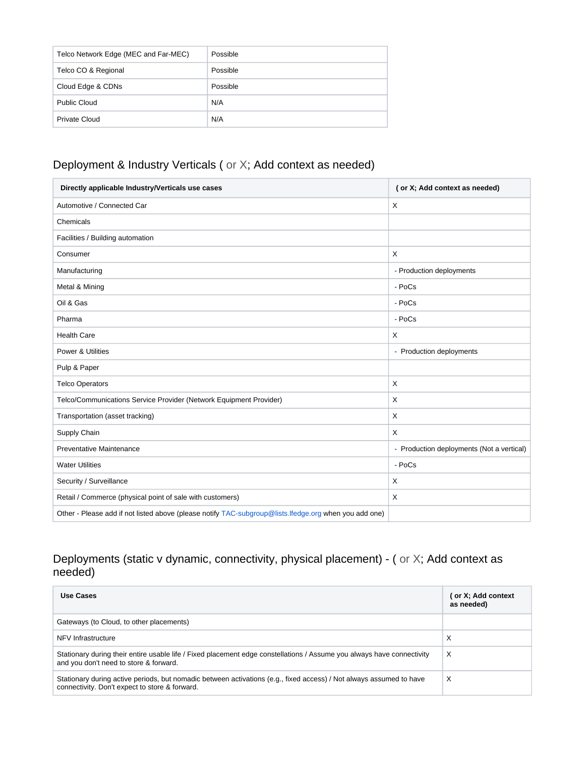| Telco Network Edge (MEC and Far-MEC) | Possible |
|--------------------------------------|----------|
| Telco CO & Regional                  | Possible |
| Cloud Edge & CDNs                    | Possible |
| <b>Public Cloud</b>                  | N/A      |
| Private Cloud                        | N/A      |

### Deployment & Industry Verticals ( or X; Add context as needed)

| Directly applicable Industry/Verticals use cases                                                      | (or X; Add context as needed)             |
|-------------------------------------------------------------------------------------------------------|-------------------------------------------|
| Automotive / Connected Car                                                                            | X                                         |
| Chemicals                                                                                             |                                           |
| Facilities / Building automation                                                                      |                                           |
| Consumer                                                                                              | X                                         |
| Manufacturing                                                                                         | - Production deployments                  |
| Metal & Mining                                                                                        | - PoCs                                    |
| Oil & Gas                                                                                             | - PoCs                                    |
| Pharma                                                                                                | - PoCs                                    |
| <b>Health Care</b>                                                                                    | X                                         |
| Power & Utilities                                                                                     | - Production deployments                  |
| Pulp & Paper                                                                                          |                                           |
| <b>Telco Operators</b>                                                                                | X                                         |
| Telco/Communications Service Provider (Network Equipment Provider)                                    | X                                         |
| Transportation (asset tracking)                                                                       | X                                         |
| Supply Chain                                                                                          | X                                         |
| Preventative Maintenance                                                                              | - Production deployments (Not a vertical) |
| <b>Water Utilities</b>                                                                                | - PoCs                                    |
| Security / Surveillance                                                                               | X                                         |
| Retail / Commerce (physical point of sale with customers)                                             | X                                         |
| Other - Please add if not listed above (please notify TAC-subgroup@lists.lfedge.org when you add one) |                                           |

### Deployments (static v dynamic, connectivity, physical placement) - ( or X; Add context as needed)

| Use Cases                                                                                                                                                             | ( or X; Add context<br>as needed) |
|-----------------------------------------------------------------------------------------------------------------------------------------------------------------------|-----------------------------------|
| Gateways (to Cloud, to other placements)                                                                                                                              |                                   |
| NFV Infrastructure                                                                                                                                                    | X                                 |
| Stationary during their entire usable life / Fixed placement edge constellations / Assume you always have connectivity<br>and you don't need to store & forward.      | X                                 |
| Stationary during active periods, but nomadic between activations (e.g., fixed access) / Not always assumed to have<br>connectivity. Don't expect to store & forward. | X                                 |